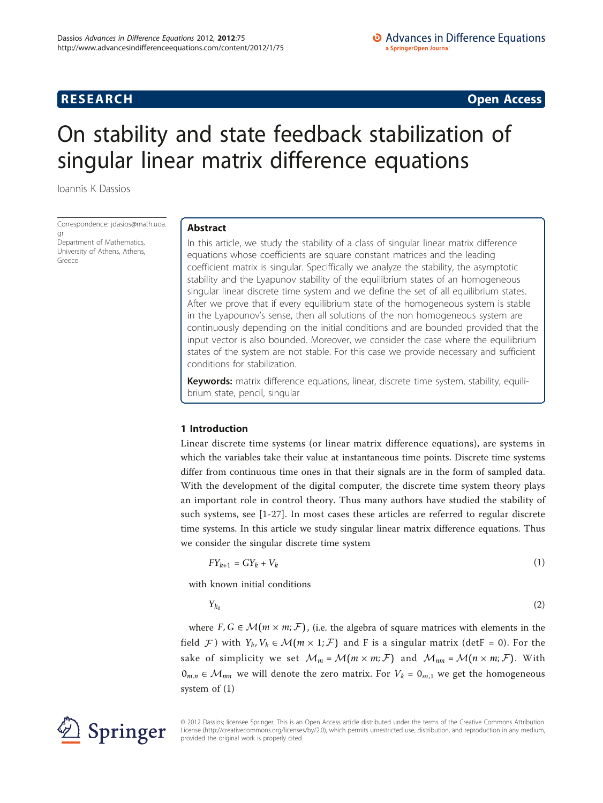**RESEARCH CONSTRUCTION CONSTRUCTS** 

# On stability and state feedback stabilization of singular linear matrix difference equations

Ioannis K Dassios

Correspondence: [jdasios@math.uoa.](mailto:jdasios@math.uoa.gr) [gr](mailto:jdasios@math.uoa.gr) Department of Mathematics,

University of Athens, Athens, Greece

# Abstract

In this article, we study the stability of a class of singular linear matrix difference equations whose coefficients are square constant matrices and the leading coefficient matrix is singular. Speciffically we analyze the stability, the asymptotic stability and the Lyapunov stability of the equilibrium states of an homogeneous singular linear discrete time system and we define the set of all equilibrium states. After we prove that if every equilibrium state of the homogeneous system is stable in the Lyapounov's sense, then all solutions of the non homogeneous system are continuously depending on the initial conditions and are bounded provided that the input vector is also bounded. Moreover, we consider the case where the equilibrium states of the system are not stable. For this case we provide necessary and sufficient conditions for stabilization.

Keywords: matrix difference equations, linear, discrete time system, stability, equilibrium state, pencil, singular

# 1 Introduction

Linear discrete time systems (or linear matrix difference equations), are systems in which the variables take their value at instantaneous time points. Discrete time systems differ from continuous time ones in that their signals are in the form of sampled data. With the development of the digital computer, the discrete time system theory plays an important role in control theory. Thus many authors have studied the stability of such systems, see [\[1](#page-18-0)-[27](#page-19-0)]. In most cases these articles are referred to regular discrete time systems. In this article we study singular linear matrix difference equations. Thus we consider the singular discrete time system

$$
FY_{k+1} = GY_k + V_k \tag{1}
$$

with known initial conditions

$$
Y_{k_0} \tag{2}
$$

where  $F, G \in \mathcal{M}(m \times m; \mathcal{F})$ , (i.e. the algebra of square matrices with elements in the field *F*) with  $Y_k$ ,  $V_k \in \mathcal{M}(m \times 1; \mathcal{F})$  and F is a singular matrix (detF = 0). For the sake of simplicity we set  $\mathcal{M}_m = \mathcal{M}(m \times m; \mathcal{F})$  and  $\mathcal{M}_{nm} = \mathcal{M}(n \times m; \mathcal{F})$ . With  $0_{m,n}$  ∈  $\mathcal{M}_{mn}$  we will denote the zero matrix. For  $V_k = 0_{m,1}$  we get the homogeneous system of (1)



© 2012 Dassios; licensee Springer. This is an Open Access article distributed under the terms of the Creative Commons Attribution License [\(http://creativecommons.org/licenses/by/2.0](http://creativecommons.org/licenses/by/2.0)), which permits unrestricted use, distribution, and reproduction in any medium, provided the original work is properly cited.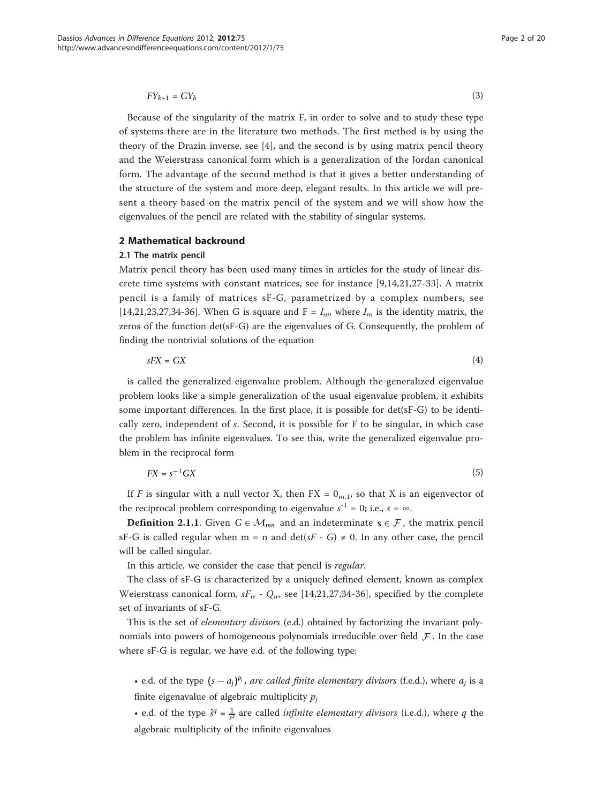$$
FY_{k+1} = GY_k \tag{3}
$$

Because of the singularity of the matrix F, in order to solve and to study these type of systems there are in the literature two methods. The first method is by using the theory of the Drazin inverse, see [[4\]](#page-18-0), and the second is by using matrix pencil theory and the Weierstrass canonical form which is a generalization of the Jordan canonical form. The advantage of the second method is that it gives a better understanding of the structure of the system and more deep, elegant results. In this article we will present a theory based on the matrix pencil of the system and we will show how the eigenvalues of the pencil are related with the stability of singular systems.

# 2 Mathematical backround

#### 2.1 The matrix pencil

Matrix pencil theory has been used many times in articles for the study of linear discrete time systems with constant matrices, see for instance [[9,14](#page-18-0),[21,27-33\]](#page-19-0). A matrix pencil is a family of matrices sF-G, parametrized by a complex numbers, see [[14,](#page-18-0)[21,23,27,34-36](#page-19-0)]. When G is square and F =  $I_m$ , where  $I_m$  is the identity matrix, the zeros of the function det(sF-G) are the eigenvalues of G. Consequently, the problem of finding the nontrivial solutions of the equation

$$
sFX = GX \tag{4}
$$

is called the generalized eigenvalue problem. Although the generalized eigenvalue problem looks like a simple generalization of the usual eigenvalue problem, it exhibits some important differences. In the first place, it is possible for det(sF-G) to be identically zero, independent of s. Second, it is possible for F to be singular, in which case the problem has infinite eigenvalues. To see this, write the generalized eigenvalue problem in the reciprocal form

$$
FX = s^{-1}GX \tag{5}
$$

If F is singular with a null vector X, then  $FX = 0_{m,1}$ , so that X is an eigenvector of the reciprocal problem corresponding to eigenvalue  $s^{-1} = 0$ ; i.e.,  $s = \infty$ .

**Definition 2.1.1.** Given  $G \in \mathcal{M}_{mn}$  and an indeterminate  $s \in \mathcal{F}$ , the matrix pencil sF-G is called regular when m = n and det(sF - G)  $\neq$  0. In any other case, the pencil will be called singular.

In this article, we consider the case that pencil is regular.

The class of sF-G is characterized by a uniquely defined element, known as complex Weierstrass canonical form,  $sF_w$  -  $Q_w$ , see [[14,](#page-18-0)[21,27,34](#page-19-0)-[36](#page-19-0)], specified by the complete set of invariants of sF-G.

This is the set of elementary divisors (e.d.) obtained by factorizing the invariant polynomials into powers of homogeneous polynomials irreducible over field *F* . In the case where sF-G is regular, we have e.d. of the following type:

• e.d. of the type  $(s - a_i)^{p_j}$ , are called finite elementary divisors (f.e.d.), where  $a_i$  is a finite eigenavalue of algebraic multiplicity  $p_j$ 

• e.d. of the type  $\hat{s}^q = \frac{1}{s^q}$  are called *infinite elementary divisors* (i.e.d.), where q the algebraic multiplicity of the infinite eigenvalues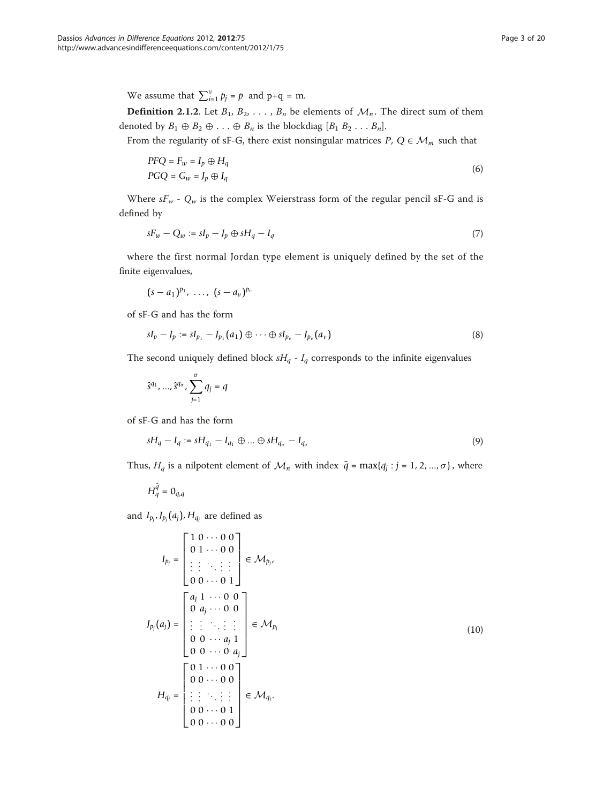We assume that  $\sum_{i=1}^{v} p_j = p$  and  $p+q = m$ .

**Definition 2.1.2.** Let  $B_1, B_2, \ldots, B_n$  be elements of  $\mathcal{M}_n$ . The direct sum of them denoted by  $B_1 \oplus B_2 \oplus \ldots \oplus B_n$  is the blockdiag  $[B_1 B_2 \ldots B_n]$ .

From the regularity of sF-G, there exist nonsingular matrices  $P$ ,  $Q \in \mathcal{M}_m$  such that

$$
P F Q = F_w = I_p \oplus H_q
$$
  
\n
$$
P G Q = G_w = J_p \oplus I_q
$$
\n(6)

Where  $sF_w$  -  $Q_w$  is the complex Weierstrass form of the regular pencil sF-G and is defined by

$$
sF_w - Q_w := sI_p - J_p \oplus sH_q - I_q \tag{7}
$$

where the first normal Jordan type element is uniquely defined by the set of the finite eigenvalues,

$$
(s-a_1)^{p_1},\ldots,(s-a_\nu)^{p_\nu}
$$

of sF-G and has the form

$$
sI_p - I_p := sI_{p_1} - I_{p_1}(a_1) \oplus \cdots \oplus sI_{p_\nu} - I_{p_\nu}(a_\nu)
$$
\n(8)

The second uniquely defined block  $sH_q$  -  $I_q$  corresponds to the infinite eigenvalues

$$
\hat{s}^{q_1},...,\hat{s}^{q_\sigma},\sum_{j=1}^\sigma q_j=q
$$

of sF-G and has the form

$$
sH_q - I_q := sH_{q_1} - I_{q_1} \oplus \dots \oplus sH_{q_\sigma} - I_{q_\sigma}
$$
\n(9)

Thus,  $H_q$  is a nilpotent element of  $\mathcal{M}_n$  with index  $\tilde{q} = \max\{q_j : j = 1, 2, ..., \sigma\}$ , where

$$
H_q^{\tilde{q}} = 0_{q,q}
$$

and  $I_{p_j}, J_{p_j}(a_j)$ ,  $H_{q_j}$  are defined as

$$
I_{p_j} = \begin{bmatrix} 1 & 0 & \cdots & 0 & 0 \\ 0 & 1 & \cdots & 0 & 0 \\ \vdots & \vdots & \ddots & \vdots & \vdots \\ 0 & 0 & \cdots & 0 & 1 \end{bmatrix} \in \mathcal{M}_{p_j},
$$
  
\n
$$
J_{p_j}(a_j) = \begin{bmatrix} a_j & 1 & \cdots & 0 & 0 \\ 0 & a_j & \cdots & 0 & 0 \\ \vdots & \vdots & \ddots & \vdots & \vdots \\ 0 & 0 & \cdots & a_j & 1 \\ 0 & 0 & \cdots & 0 & a_j \end{bmatrix} \in \mathcal{M}_{p_j}
$$
  
\n
$$
H_{q_j} = \begin{bmatrix} 0 & 1 & \cdots & 0 & 0 \\ 0 & 0 & \cdots & 0 & 0 \\ \vdots & \vdots & \ddots & \vdots & \vdots \\ 0 & 0 & \cdots & 0 & 1 \\ 0 & 0 & \cdots & 0 & 0 \end{bmatrix} \in \mathcal{M}_{q_j}.
$$
  
\n(10)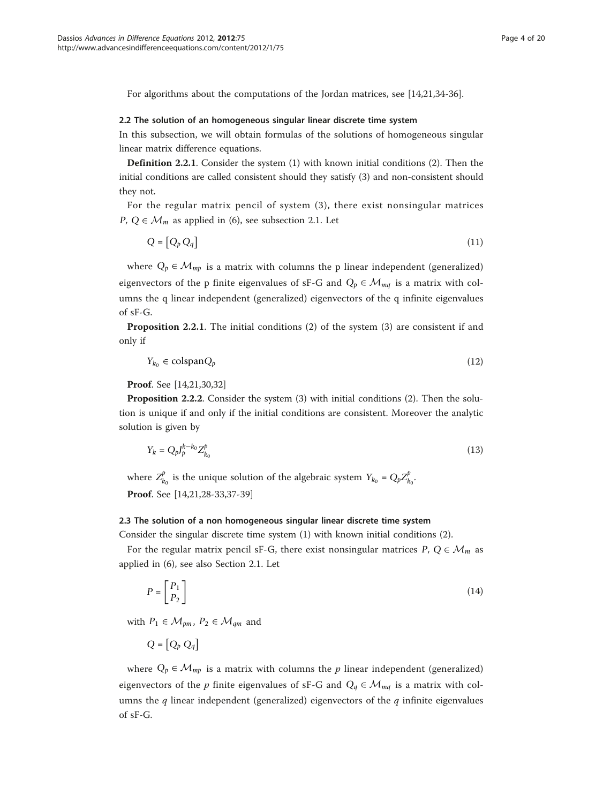For algorithms about the computations of the Jordan matrices, see [\[14](#page-18-0)[,21,34-36](#page-19-0)].

#### 2.2 The solution of an homogeneous singular linear discrete time system

In this subsection, we will obtain formulas of the solutions of homogeneous singular linear matrix difference equations.

Definition 2.2.1. Consider the system (1) with known initial conditions (2). Then the initial conditions are called consistent should they satisfy (3) and non-consistent should they not.

For the regular matrix pencil of system (3), there exist nonsingular matrices *P*, *Q* ∈  $M<sub>m</sub>$  as applied in (6), see subsection 2.1. Let

$$
Q = [Q_p Q_q] \tag{11}
$$

where  $Q_p \in \mathcal{M}_{mp}$  is a matrix with columns the p linear independent (generalized) eigenvectors of the p finite eigenvalues of sF-G and  $Q_p \in \mathcal{M}_{mq}$  is a matrix with columns the q linear independent (generalized) eigenvectors of the q infinite eigenvalues of sF-G.

Proposition 2.2.1. The initial conditions (2) of the system (3) are consistent if and only if

$$
Y_{k_0} \in \mathrm{colspan} Q_p \tag{12}
$$

Proof. See [\[14,](#page-18-0)[21,30,32](#page-19-0)]

Proposition 2.2.2. Consider the system (3) with initial conditions (2). Then the solution is unique if and only if the initial conditions are consistent. Moreover the analytic solution is given by

$$
Y_k = Q_p J_p^{k-k_0} Z_{k_0}^p \tag{13}
$$

where  $Z_{k_0}^p$  is the unique solution of the algebraic system  $Y_{k_0} = Q_p Z_{k_0}^p$ . Proof. See [\[14,](#page-18-0)[21,28-33,37-39](#page-19-0)]

#### 2.3 The solution of a non homogeneous singular linear discrete time system

Consider the singular discrete time system (1) with known initial conditions (2).

For the regular matrix pencil sF-G, there exist nonsingular matrices  $P$ ,  $Q \in \mathcal{M}_m$  as applied in (6), see also Section 2.1. Let

$$
P = \begin{bmatrix} P_1 \\ P_2 \end{bmatrix} \tag{14}
$$

with  $P_1 \in \mathcal{M}_{pm}$ ,  $P_2 \in \mathcal{M}_{dm}$  and

$$
Q = [Q_p \ Q_q]
$$

where  $Q_p \in \mathcal{M}_{mp}$  is a matrix with columns the p linear independent (generalized) eigenvectors of the p finite eigenvalues of sF-G and  $Q_q \in \mathcal{M}_{mq}$  is a matrix with columns the  $q$  linear independent (generalized) eigenvectors of the  $q$  infinite eigenvalues of sF-G.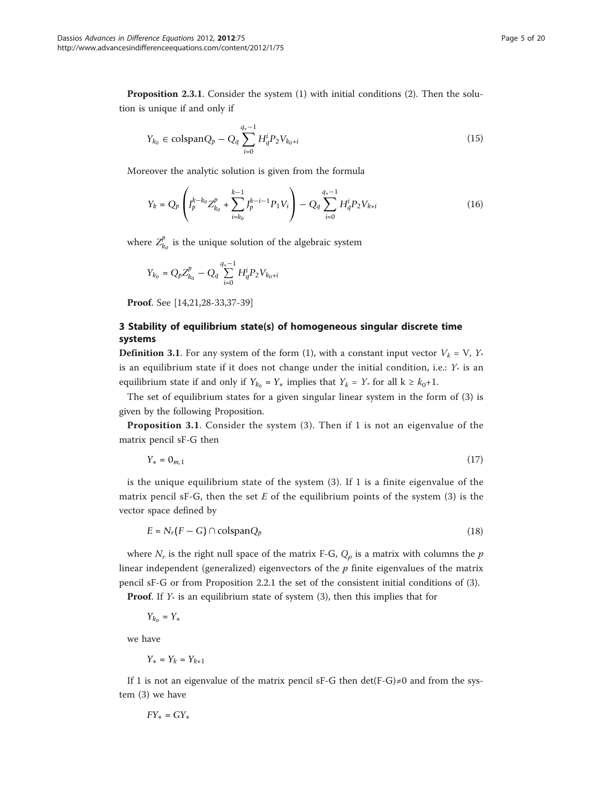Proposition 2.3.1. Consider the system (1) with initial conditions (2). Then the solution is unique if and only if

$$
Y_{k_0} \in \text{colspan} Q_p - Q_q \sum_{i=0}^{q_*-1} H_q^i P_2 V_{k_0+i}
$$
\n(15)

Moreover the analytic solution is given from the formula

$$
Y_k = Q_p \left( J_p^{k-k_0} Z_{k_0}^p + \sum_{i=k_0}^{k-1} J_p^{k-i-1} P_1 V_i \right) - Q_q \sum_{i=0}^{q_*-1} H_q^i P_2 V_{k+i}
$$
(16)

where  $Z_{k_0}^p$  is the unique solution of the algebraic system

$$
Y_{k_0} = Q_p Z_{k_0}^p - Q_q \sum_{i=0}^{q_*-1} H_q^i P_2 V_{k_0+i}
$$

Proof. See [\[14,](#page-18-0)[21,28-33,37-39](#page-19-0)]

# 3 Stability of equilibrium state(s) of homogeneous singular discrete time systems

**Definition 3.1.** For any system of the form (1), with a constant input vector  $V_k = V$ ,  $Y_*$ is an equilibrium state if it does not change under the initial condition, i.e.:  $Y^*$  is an equilibrium state if and only if  $Y_{k_0} = Y_*$  implies that  $Y_k = Y_*$  for all  $k \geq k_0+1$ .

The set of equilibrium states for a given singular linear system in the form of (3) is given by the following Proposition.

Proposition 3.1. Consider the system (3). Then if 1 is not an eigenvalue of the matrix pencil sF-G then

 $Y_* = 0_{m,1}$  (17)

is the unique equilibrium state of the system (3). If 1 is a finite eigenvalue of the matrix pencil sF-G, then the set  $E$  of the equilibrium points of the system (3) is the vector space defined by

$$
E = N_r(F - G) \cap \text{colspan} Q_p \tag{18}
$$

where  $N_r$  is the right null space of the matrix F-G,  $Q_p$  is a matrix with columns the p linear independent (generalized) eigenvectors of the  $p$  finite eigenvalues of the matrix pencil sF-G or from Proposition 2.2.1 the set of the consistent initial conditions of (3).

**Proof.** If  $Y_*$  is an equilibrium state of system (3), then this implies that for

*Y<sub>k*<sup>0</sup></sub> = *Y*<sup>∗</sup>

we have

$$
Y_\ast=Y_k=Y_{k+1}
$$

If 1 is not an eigenvalue of the matrix pencil sF-G then det(F-G)≠0 and from the system (3) we have

$$
FY_* = GY_*
$$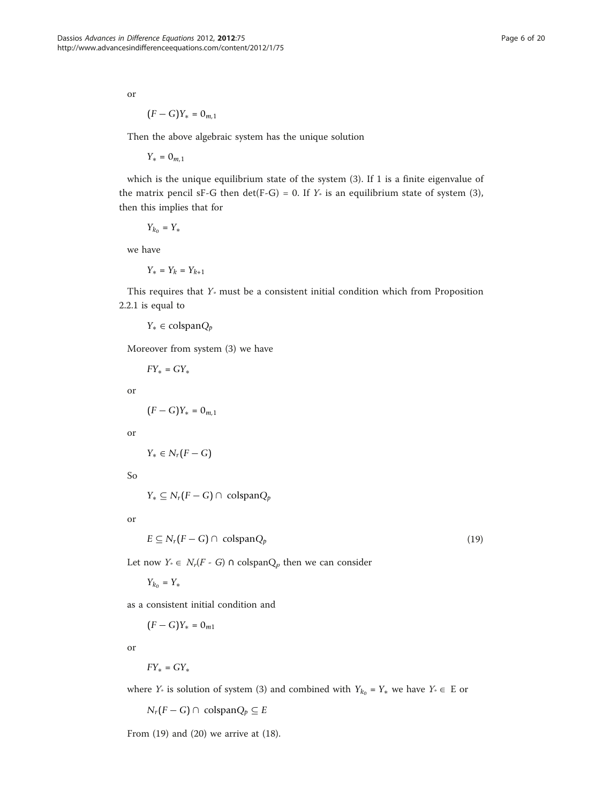or

$$
(F-G)Y_* = 0_{m,1}
$$

Then the above algebraic system has the unique solution

*Y*<sup>∗</sup> = 0*m*,1

which is the unique equilibrium state of the system (3). If 1 is a finite eigenvalue of the matrix pencil sF-G then det(F-G) = 0. If  $Y_*$  is an equilibrium state of system (3), then this implies that for

*Y<sub>k*<sup>0</sup></sub> = *Y*<sup>∗</sup>

we have

*Y*<sup>∗</sup> = *Y*<sup>*k*</sup> = *Y*<sup>*k*+1</sup>

This requires that  $Y_*$  must be a consistent initial condition which from Proposition 2.2.1 is equal to

*Y*<sup>∗</sup> ∈ colspan*Qp*

Moreover from system (3) we have

 $FY_* = GY_*$ 

or

$$
\big(F-G\big)Y_* = 0_{m,1}
$$

or

*Y*<sup>∗</sup> ∈ *N*<sup>*r*</sup>(*F* − *G*)

So

*Y*<sup>∗</sup> ⊆ *N<sub>r</sub>*( $F$  − *G*) ∩ colspan $Q_p$ 

or

$$
E \subseteq N_r(F - G) \cap \text{colspan} Q_p \tag{19}
$$

Let now  $Y^*$  ∈  $N_r(F - G)$  ∩ colspan $Q_p$  then we can consider

*Y<sub>k*<sup>0</sup></sub> = *Y*<sup>∗</sup>

as a consistent initial condition and

 $(F - G)Y_* = 0_{m1}$ 

or

 $FY_* = GY_*$ 

where *Y*<sup>∗</sup> is solution of system (3) and combined with  $Y_{k_0} = Y_*$  we have  $Y^* \in E$  or

*N<sub>r</sub>*( $F$  − *G*) ∩ colspan $Q_p$  ⊆  $E$ 

From (19) and (20) we arrive at (18).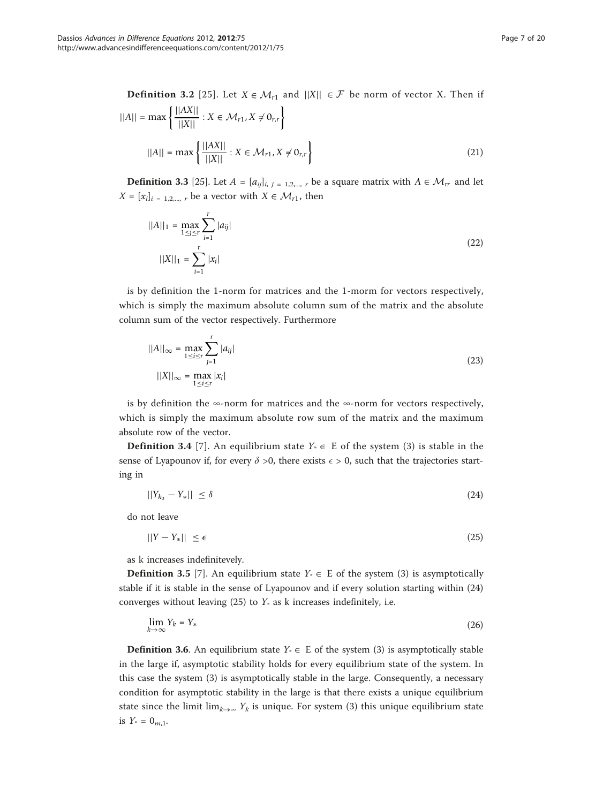**Definition 3.2** [[25](#page-19-0)]. Let *X* ∈  $M_{r1}$  and  $||X||$  ∈  $\mathcal{F}$  be norm of vector *X*. Then if  $||A|| = \max \left\{ \frac{||AX||}{||X||} : X \in \mathcal{M}_{r1}, X \neq 0_{r,r} \right\}$  $||A|| = \max \left\{ \frac{||AX||}{||X||} : X \in \mathcal{M}_{r1}, X \neq 0_{r,r} \right\}$ (21)

**Definition 3.3** [[25](#page-19-0)]. Let  $A = [a_{ij}]_{i,j=1,2,...,r}$  be a square matrix with  $A \in \mathcal{M}_{rr}$  and let  $X = [x_i]_{i=1,2,...,r}$  be a vector with  $X \in \mathcal{M}_{r1}$ , then

$$
||A||_1 = \max_{1 \le j \le r} \sum_{i=1}^r |a_{ij}|
$$
  

$$
||X||_1 = \sum_{i=1}^r |x_i|
$$
 (22)

is by definition the 1-norm for matrices and the 1-morm for vectors respectively, which is simply the maximum absolute column sum of the matrix and the absolute column sum of the vector respectively. Furthermore

$$
||A||_{\infty} = \max_{1 \le i \le r} \sum_{j=1}^{r} |a_{ij}|
$$
  

$$
||X||_{\infty} = \max_{1 \le i \le r} |x_i|
$$
 (23)

is by definition the ∞-norm for matrices and the  $\infty$ -norm for vectors respectively, which is simply the maximum absolute row sum of the matrix and the maximum absolute row of the vector.

**Definition 3.4** [\[7\]](#page-18-0). An equilibrium state  $Y \in E$  of the system (3) is stable in the sense of Lyapounov if, for every  $\delta > 0$ , there exists  $\epsilon > 0$ , such that the trajectories starting in

$$
||Y_{k_0} - Y_*|| \le \delta \tag{24}
$$

do not leave

$$
||Y - Y_*|| \le \epsilon \tag{25}
$$

as k increases indefinitevely.

**Definition 3.5** [[7\]](#page-18-0). An equilibrium state  $Y \in E$  of the system (3) is asymptotically stable if it is stable in the sense of Lyapounov and if every solution starting within (24) converges without leaving  $(25)$  to  $Y_*$  as k increases indefinitely, i.e.

$$
\lim_{k \to \infty} Y_k = Y_* \tag{26}
$$

**Definition 3.6.** An equilibrium state  $Y_* \in E$  of the system (3) is asymptotically stable in the large if, asymptotic stability holds for every equilibrium state of the system. In this case the system (3) is asymptotically stable in the large. Consequently, a necessary condition for asymptotic stability in the large is that there exists a unique equilibrium state since the limit lim<sub>k→∞</sub> Y<sub>k</sub> is unique. For system (3) this unique equilibrium state is  $Y_* = 0_{m,1}$ .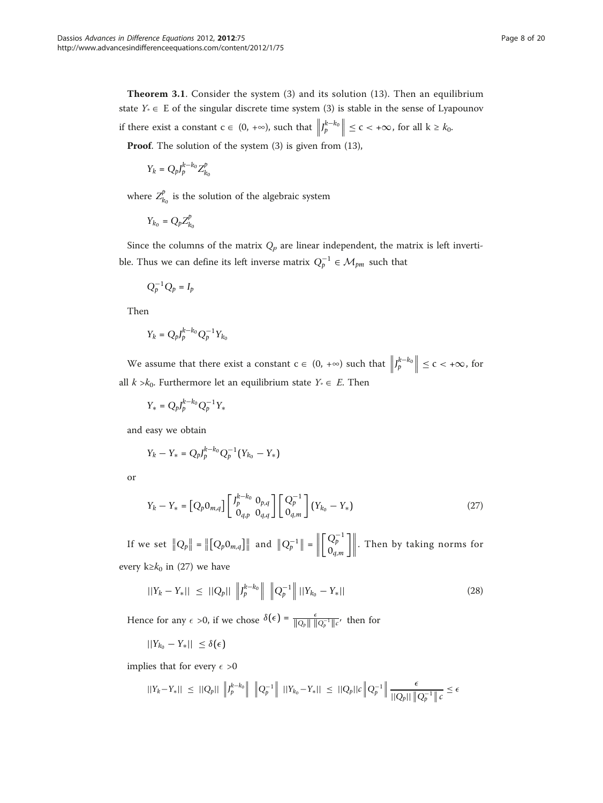Theorem 3.1. Consider the system (3) and its solution (13). Then an equilibrium state  $Y_* \in E$  of the singular discrete time system (3) is stable in the sense of Lyapounov if there exist a constant  $c \in (0, +\infty)$ , such that  $\left\| \int_{p}^{k-k_0} \right\| \leq c < +\infty$ , for all  $k \geq k_0$ . Proof. The solution of the system (3) is given from (13),

$$
Y_k = Q_p J_p^{k-k_0} Z_{k_0}^p
$$

where  $Z_{k_0}^p$  is the solution of the algebraic system

$$
Y_{k_0} = Q_p Z_{k_0}^p
$$

Since the columns of the matrix  $Q_p$  are linear independent, the matrix is left invertible. Thus we can define its left inverse matrix  $Q_p^{-1} \in \mathcal{M}_{pm}$  such that

$$
Q_p^{-1}Q_p=I_p
$$

Then

$$
Y_k = Q_p J_p^{k-k_0} Q_p^{-1} Y_{k_0}
$$

We assume that there exist a constant  $c \in (0, +\infty)$  such that  $\left\| \int_{p}^{k-k_0} \right\| \leq c < +\infty$ , for all  $k > k_0$ . Furthermore let an equilibrium state  $Y_* \in E$ . Then

$$
Y_* = Q_p J_p^{k-k_0} Q_p^{-1} Y_*
$$

and easy we obtain

$$
Y_k - Y_* = Q_p J_p^{k-k_0} Q_p^{-1} (Y_{k_0} - Y_*)
$$

or

$$
Y_k - Y_* = [Q_p 0_{m,q}] \begin{bmatrix} J_p^{k-k_0} & 0_{p,q} \\ 0_{q,p} & 0_{q,q} \end{bmatrix} \begin{bmatrix} Q_p^{-1} \\ 0_{q,m} \end{bmatrix} (Y_{k_0} - Y_*)
$$
 (27)

If we set  $||Q_p|| = ||[Q_p 0_{m,q}]]||$  and  $||Q_p^{-1}|| = ||$  $\begin{bmatrix} Q_p^{-1} \\ 0_{q,m} \end{bmatrix}$  $\mathbb{R}$ . Then by taking norms for every k≥ $k_0$  in (27) we have

$$
||Y_k - Y_*|| \le ||Q_p|| \, \left\| J_p^{k-k_0} \right\| \, \left\| Q_p^{-1} \right\| ||Y_{k_0} - Y_*|| \tag{28}
$$

Hence for any  $\epsilon > 0$ , if we chose  $\delta(\epsilon) = \frac{\epsilon}{\|\hat{Q}_p\| \|\hat{Q}_p^{-1}\| \epsilon'}$ , then for

 $||Y_{k_0} - Y_*|| \leq \delta(\epsilon)$ 

implies that for every  $\epsilon > 0$ 

$$
||Y_k - Y_*|| \leq ||Q_p|| \left\| J_p^{k-k_0} \right\| \left\| Q_p^{-1} \right\| ||Y_{k_0} - Y_*|| \leq ||Q_p||c \left\| Q_p^{-1} \right\| \frac{\epsilon}{||Q_p|| \left\| Q_p^{-1} \right\| c} \leq \epsilon
$$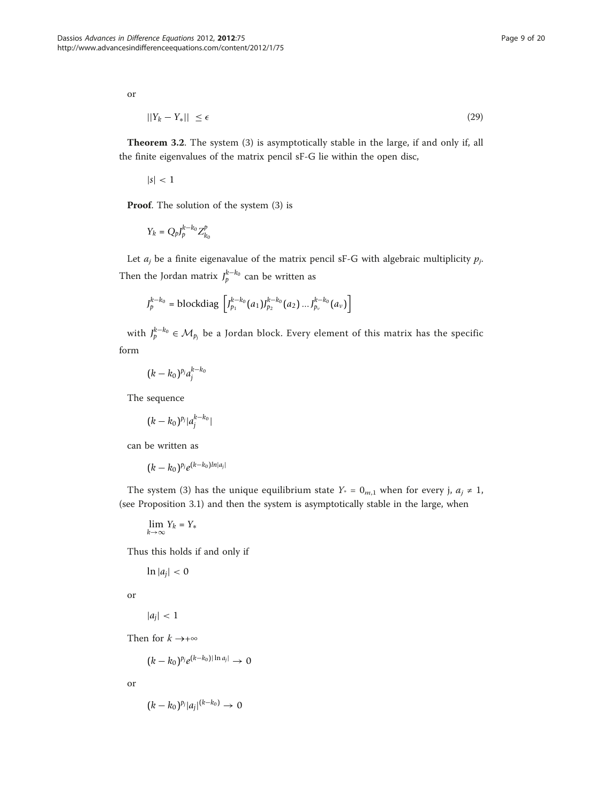or

$$
||Y_k - Y_*|| \le \epsilon \tag{29}
$$

Theorem 3.2. The system (3) is asymptotically stable in the large, if and only if, all the finite eigenvalues of the matrix pencil sF-G lie within the open disc,

 $|s| < 1$ 

Proof. The solution of the system  $(3)$  is

$$
Y_k = Q_p J_p^{k-k_0} Z_{k_0}^p
$$

Let  $a_j$  be a finite eigenavalue of the matrix pencil sF-G with algebraic multiplicity  $p_j$ . Then the Jordan matrix  $J_p^{k-k_0}$  can be written as

$$
J_p^{k-k_0} = \text{blockdiag}\left[J_{p_1}^{k-k_0}(a_1)J_{p_2}^{k-k_0}(a_2) \dots J_{p_\nu}^{k-k_0}(a_\nu)\right]
$$

with  $J_p^{k-k_0} \in \mathcal{M}_{p_j}$  be a Jordan block. Every element of this matrix has the specific form

$$
(k-k_0)^{p_j}a_j^{k-k_0}
$$

The sequence

$$
(k-k_0)^{p_j}|a_j^{k-k_0}|
$$

can be written as

$$
(k-k_0)^{p_j}e^{(k-k_0)ln|a_j|}
$$

The system (3) has the unique equilibrium state  $Y_* = 0_{m,1}$  when for every j,  $a_i \neq 1$ , (see Proposition 3.1) and then the system is asymptotically stable in the large, when

$$
\lim_{k\to\infty}Y_k=Y_*
$$

Thus this holds if and only if

 $\ln |a_i| < 0$ 

or

$$
|a_j|<1
$$

Then for  $k \rightarrow +\infty$ 

 $(k - k_0)^{p_j} e^{(k - k_0) |\ln a_j|} \to 0$ 

or

$$
(k-k_0)^{p_j}|a_j|^{(k-k_0)}\to 0
$$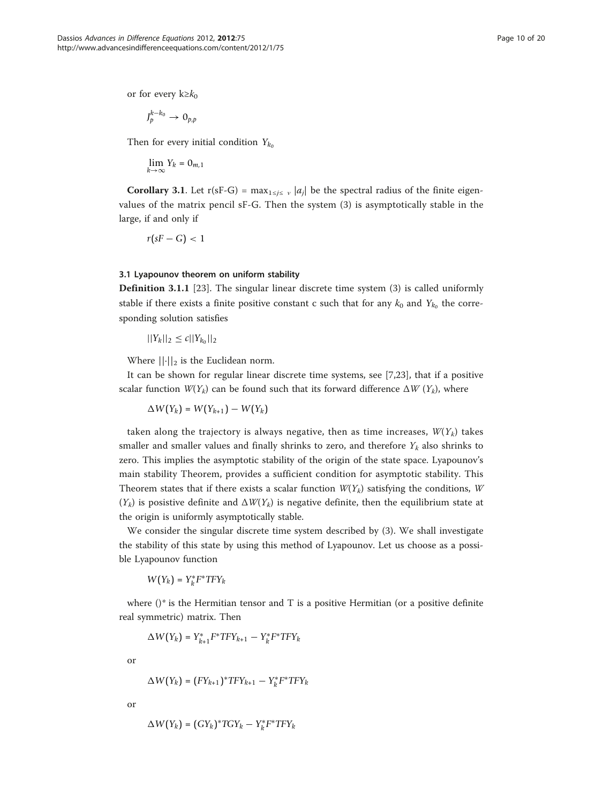or for every  $k \geq k_0$ 

$$
J_p^{k-k_0}\to O_{p,p}
$$

Then for every initial condition  $Y_{k_0}$ 

$$
\lim_{k\to\infty}Y_k=0_{m,1}
$$

**Corollary 3.1.** Let r(sF-G) = max<sub>1≤j≤ v</sub> |a<sub>j</sub>| be the spectral radius of the finite eigenvalues of the matrix pencil sF-G. Then the system (3) is asymptotically stable in the large, if and only if

$$
r(sF-G) < 1
$$

#### 3.1 Lyapounov theorem on uniform stability

Definition 3.1.1 [[23\]](#page-19-0). The singular linear discrete time system (3) is called uniformly stable if there exists a finite positive constant c such that for any  $k_0$  and  $Y_{k_0}$  the corresponding solution satisfies

$$
||Y_k||_2 \le c||Y_{k_0}||_2
$$

Where  $\left\vert \left\vert \cdot\right\vert \right\vert_2$  is the Euclidean norm.

It can be shown for regular linear discrete time systems, see [[7,](#page-18-0)[23\]](#page-19-0), that if a positive scalar function  $W(Y_k)$  can be found such that its forward difference  $\Delta W(Y_k)$ , where

$$
\Delta W(Y_k) = W(Y_{k+1}) - W(Y_k)
$$

taken along the trajectory is always negative, then as time increases,  $W(Y_k)$  takes smaller and smaller values and finally shrinks to zero, and therefore  $Y_k$  also shrinks to zero. This implies the asymptotic stability of the origin of the state space. Lyapounov's main stability Theorem, provides a sufficient condition for asymptotic stability. This Theorem states that if there exists a scalar function  $W(Y_k)$  satisfying the conditions, W  $(Y_k)$  is posistive definite and  $\Delta W(Y_k)$  is negative definite, then the equilibrium state at the origin is uniformly asymptotically stable.

We consider the singular discrete time system described by (3). We shall investigate the stability of this state by using this method of Lyapounov. Let us choose as a possible Lyapounov function

 $W(Y_k) = Y_k^* F^* T F Y_k$ 

where  $()^*$  is the Hermitian tensor and T is a positive Hermitian (or a positive definite real symmetric) matrix. Then

$$
\Delta W(Y_k) = Y_{k+1}^* F^* T F Y_{k+1} - Y_k^* F^* T F Y_k
$$

or

$$
\Delta W(Y_k) = (FY_{k+1})^*TFY_{k+1} - Y_k^*F^*TFY_k
$$

or

$$
\Delta W(Y_k) = (GY_k)^* TGY_k - Y_k^* F^* T F Y_k
$$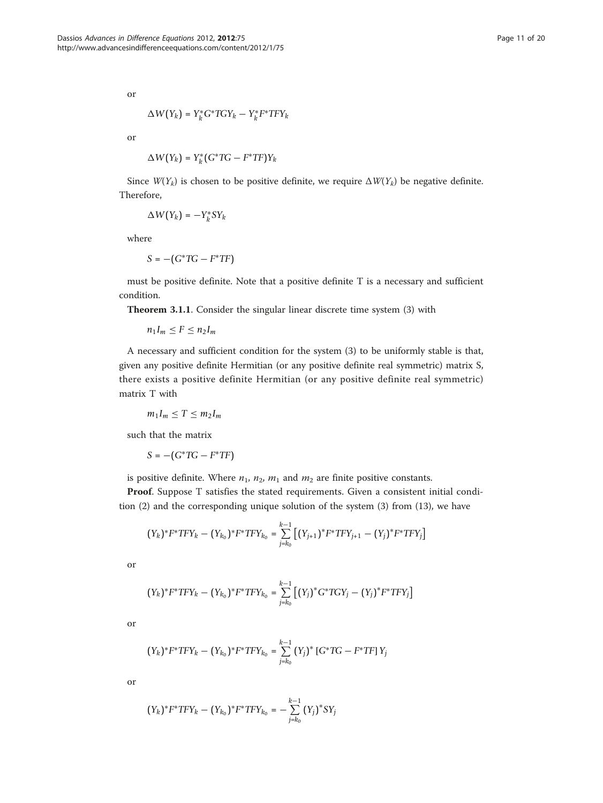or

$$
\Delta W(Y_k) = Y_k^* G^* T G Y_k - Y_k^* F^* T F Y_k
$$

or

$$
\Delta W(Y_k) = Y_k^*(G^*TG - F^*TF)Y_k
$$

Since  $W(Y_k)$  is chosen to be positive definite, we require  $\Delta W(Y_k)$  be negative definite. Therefore,

$$
\Delta W(Y_k) = -Y_k^*SY_k
$$

where

$$
S=-\big(G^*TG-F^*TF\big)
$$

must be positive definite. Note that a positive definite T is a necessary and sufficient condition.

Theorem 3.1.1. Consider the singular linear discrete time system (3) with

$$
n_1I_m\leq F\leq n_2I_m
$$

A necessary and sufficient condition for the system (3) to be uniformly stable is that, given any positive definite Hermitian (or any positive definite real symmetric) matrix S, there exists a positive definite Hermitian (or any positive definite real symmetric) matrix T with

$$
m_1I_m\leq T\leq m_2I_m
$$

such that the matrix

$$
S = -(G^*TG - F^*TF)
$$

is positive definite. Where  $n_1$ ,  $n_2$ ,  $m_1$  and  $m_2$  are finite positive constants.

Proof. Suppose T satisfies the stated requirements. Given a consistent initial condition (2) and the corresponding unique solution of the system (3) from (13), we have

$$
(Y_k)^* F^* T F Y_k - (Y_{k_0})^* F^* T F Y_{k_0} = \sum_{j=k_0}^{k-1} \left[ (Y_{j+1})^* F^* T F Y_{j+1} - (Y_j)^* F^* T F Y_j \right]
$$

or

$$
(Y_k)^* F^* T F Y_k - (Y_{k_0})^* F^* T F Y_{k_0} = \sum_{j=k_0}^{k-1} \left[ (Y_j)^* G^* T G Y_j - (Y_j)^* F^* T F Y_j \right]
$$

or

$$
(Y_k)^* F^* T F Y_k - (Y_{k_0})^* F^* T F Y_{k_0} = \sum_{j=k_0}^{k-1} (Y_j)^* [G^* T G - F^* T F] Y_j
$$

or

$$
(Y_k)^* F^* T F Y_k - (Y_{k_0})^* F^* T F Y_{k_0} = - \sum_{j=k_0}^{k-1} (Y_j)^* S Y_j
$$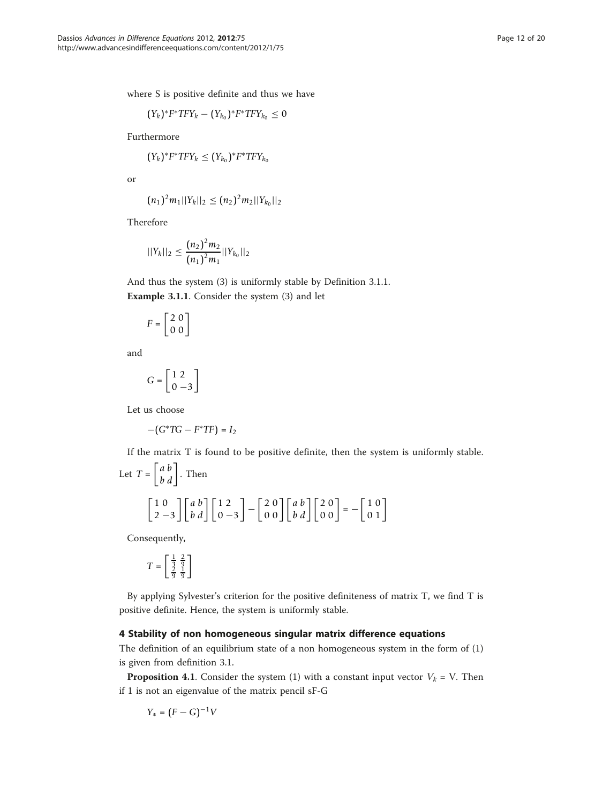where S is positive definite and thus we have

$$
(Y_k)^* F^* T F Y_k - (Y_{k_0})^* F^* T F Y_{k_0} \leq 0
$$

Furthermore

$$
(Y_k)^*F^*TFY_k\leq (Y_{k_0})^*F^*TFY_{k_0}
$$

or

$$
(n_1)^2m_1||Y_k||_2\leq (n_2)^2m_2||Y_{k_0}||_2
$$

Therefore

$$
||Y_k||_2 \leq \frac{(n_2)^2 m_2}{(n_1)^2 m_1} ||Y_{k_0}||_2
$$

And thus the system (3) is uniformly stable by Definition 3.1.1. Example 3.1.1. Consider the system (3) and let

$$
F = \begin{bmatrix} 2 & 0 \\ 0 & 0 \end{bmatrix}
$$

and

$$
G = \left[\begin{array}{c} 1 & 2 \\ 0 & -3 \end{array}\right]
$$

Let us choose

$$
-(G^*TG-F^*TF)=I_2
$$

If the matrix T is found to be positive definite, then the system is uniformly stable.

Let 
$$
T = \begin{bmatrix} a & b \\ b & d \end{bmatrix}
$$
. Then  
\n
$$
\begin{bmatrix} 1 & 0 \\ 2 & -3 \end{bmatrix} \begin{bmatrix} a & b \\ b & d \end{bmatrix} \begin{bmatrix} 1 & 2 \\ 0 & -3 \end{bmatrix} - \begin{bmatrix} 2 & 0 \\ 0 & 0 \end{bmatrix} \begin{bmatrix} a & b \\ b & d \end{bmatrix} \begin{bmatrix} 2 & 0 \\ 0 & 0 \end{bmatrix} = - \begin{bmatrix} 1 & 0 \\ 0 & 1 \end{bmatrix}
$$

Consequently,

$$
T = \begin{bmatrix} \frac{1}{3} & \frac{2}{9} \\ \frac{2}{9} & \frac{1}{9} \end{bmatrix}
$$

By applying Sylvester's criterion for the positive definiteness of matrix T, we find T is positive definite. Hence, the system is uniformly stable.

# 4 Stability of non homogeneous singular matrix difference equations

The definition of an equilibrium state of a non homogeneous system in the form of (1) is given from definition 3.1.

**Proposition 4.1.** Consider the system (1) with a constant input vector  $V_k = V$ . Then if 1 is not an eigenvalue of the matrix pencil sF-G

$$
Y_* = (F - G)^{-1}V
$$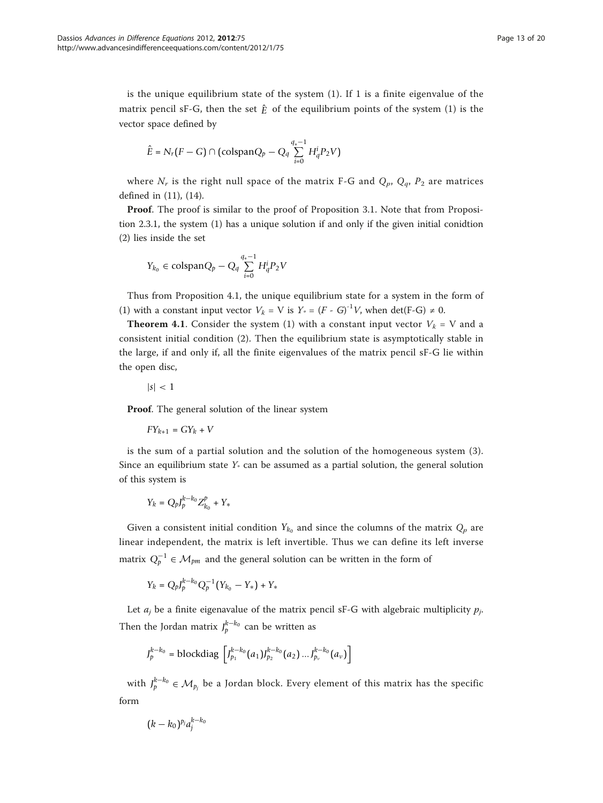is the unique equilibrium state of the system  $(1)$ . If 1 is a finite eigenvalue of the matrix pencil sF-G, then the set  $\hat{E}$  of the equilibrium points of the system (1) is the vector space defined by

$$
\hat{E}=N_r\big(F-G\big)\cap \big(\text{colspan} Q_p-Q_q\sum_{i=0}^{q_*-1}H_q^{i}P_2V\big)
$$

where  $N_r$  is the right null space of the matrix F-G and  $Q_p$ ,  $Q_q$ ,  $P_2$  are matrices defined in (11), (14).

Proof. The proof is similar to the proof of Proposition 3.1. Note that from Proposition 2.3.1, the system (1) has a unique solution if and only if the given initial conidtion (2) lies inside the set

$$
Y_{k_0} \in \mathrm{colspan} Q_p - Q_q \sum_{i=0}^{q_*-1} H_q^i P_2 V
$$

Thus from Proposition 4.1, the unique equilibrium state for a system in the form of (1) with a constant input vector  $V_k = V$  is  $Y_* = (F - G)^{-1}V$ , when det(F-G)  $\neq 0$ .

**Theorem 4.1.** Consider the system (1) with a constant input vector  $V_k = V$  and a consistent initial condition (2). Then the equilibrium state is asymptotically stable in the large, if and only if, all the finite eigenvalues of the matrix pencil sF-G lie within the open disc,

$$
|s|<1
$$

Proof. The general solution of the linear system

$$
FY_{k+1} = GY_k + V \\
$$

is the sum of a partial solution and the solution of the homogeneous system (3). Since an equilibrium state  $Y_*$  can be assumed as a partial solution, the general solution of this system is

$$
Y_k = Q_p J_p^{k-k_0} Z_{k_0}^p + Y_*
$$

Given a consistent initial condition  $Y_{k_0}$  and since the columns of the matrix  $Q_p$  are linear independent, the matrix is left invertible. Thus we can define its left inverse matrix  $Q_p^{-1}$  ∈  $\mathcal{M}_{pm}$  and the general solution can be written in the form of

 $Y_k = Q_p J_p^{k-k_0} Q_p^{-1} (Y_{k_0} - Y_*) + Y_*$ 

Let  $a_j$  be a finite eigenavalue of the matrix pencil sF-G with algebraic multiplicity  $p_j$ . Then the Jordan matrix  $J_p^{k-k_0}$  can be written as

$$
J_p^{k-k_0} = \text{blockdiag}\,\left[J_{p_1}^{k-k_0}(a_1)J_{p_2}^{k-k_0}(a_2)\,...\,J_{p_v}^{k-k_0}(a_v)\right]
$$

with  $J_p^{k-k_0} \in \mathcal{M}_{p_j}$  be a Jordan block. Every element of this matrix has the specific form

$$
(k-k_0)^{p_j}a_j^{k-k_0}
$$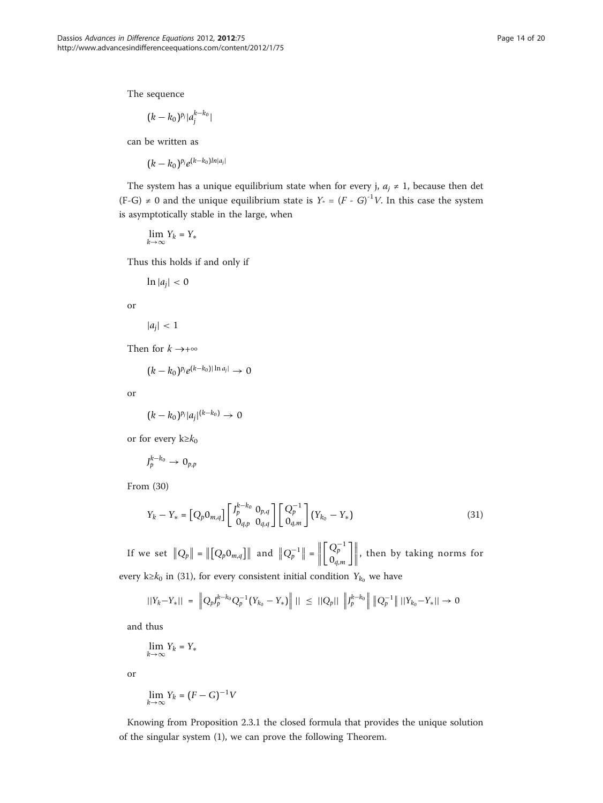The sequence

$$
(k-k_0)^{p_j}|a_j^{k-k_0}|
$$

can be written as

 $(k - k_0)^{p_j} e^{(k - k_0) \ln|a_j|}$ 

The system has a unique equilibrium state when for every j,  $a_j \neq 1$ , because then det  $(F-G) \neq 0$  and the unique equilibrium state is  $Y_0 = (F - G)^{-1}V$ . In this case the system is asymptotically stable in the large, when

$$
\lim_{k\to\infty}Y_k=Y_*
$$

Thus this holds if and only if

 $\ln |a_i| < 0$ 

or

$$
|a_j|<1
$$

Then for  $k \rightarrow +\infty$ 

 $(k - k_0)^{p_j} e^{(k - k_0) |\ln a_j|} \to 0$ 

or

$$
(k-k_0)^{p_j}|a_j|^{(k-k_0)}\to 0
$$

or for every  $k \geq k_0$ 

$$
J_p^{k-k_0}\to 0_{p,p}
$$

From (30)

$$
Y_k - Y_* = [Q_p 0_{m,q}] \begin{bmatrix} J_p^{k-k_0} & 0_{p,q} \\ 0_{q,p} & 0_{q,q} \end{bmatrix} \begin{bmatrix} Q_p^{-1} \\ 0_{q,m} \end{bmatrix} (Y_{k_0} - Y_*)
$$
(31)

If we set  $||Q_p|| = ||[Q_p 0_{m,q}]]||$  and  $||Q_p^{-1}|| = ||$  $\begin{bmatrix} Q_p^{-1} \\ 0_{q,m} \end{bmatrix}$  $\rfloor$ , then by taking norms for every k≥ $k_0$  in (31), for every consistent initial condition  $Y_{k_0}$  we have

$$
||Y_k - Y_*|| = \left\| Q_p J_p^{k - k_0} Q_p^{-1} (Y_{k_0} - Y_*) \right\| || \le ||Q_p|| \left\| J_p^{k - k_0} \right\| \left\| Q_p^{-1} \right\| ||Y_{k_0} - Y_*|| \to 0
$$

and thus

$$
\lim_{k\to\infty} Y_k = Y_*
$$

or

$$
\lim_{k\to\infty}Y_k=(F-G)^{-1}V
$$

Knowing from Proposition 2.3.1 the closed formula that provides the unique solution of the singular system (1), we can prove the following Theorem.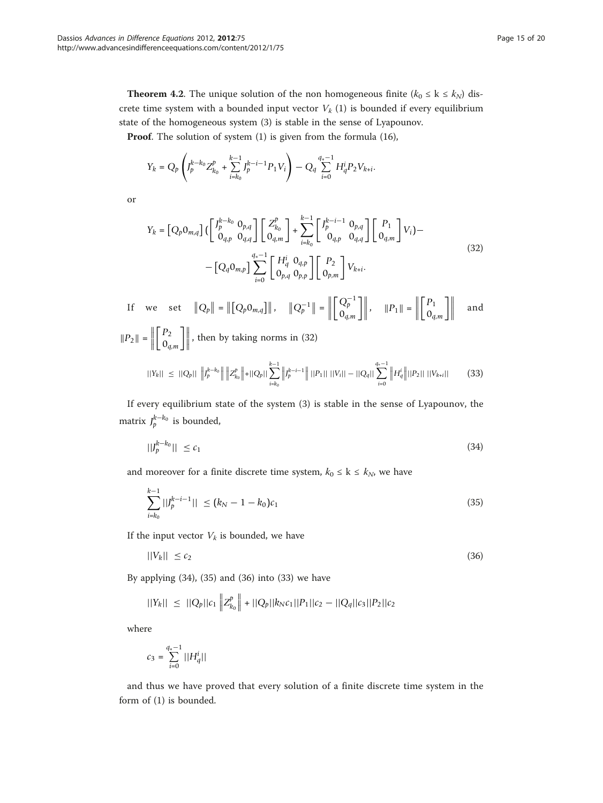**Theorem 4.2.** The unique solution of the non homogeneous finite ( $k_0 \le k \le k_N$ ) discrete time system with a bounded input vector  $V_k$  (1) is bounded if every equilibrium state of the homogeneous system (3) is stable in the sense of Lyapounov.

Proof. The solution of system (1) is given from the formula (16),

$$
Y_k = Q_p \left( J_p^{k-k_0} Z_{k_0}^p + \sum_{i=k_0}^{k-1} J_p^{k-i-1} P_1 V_i \right) - Q_q \sum_{i=0}^{q_*-1} H_q^i P_2 V_{k+i}.
$$

or

$$
Y_{k} = [Q_{p}0_{m,q}] \left( \begin{bmatrix} J_{p}^{k-k_{0}} & 0_{p,q} \\ 0_{q,p} & 0_{q,q} \end{bmatrix} \begin{bmatrix} Z_{k_{0}}^{p} \\ 0_{q,m} \end{bmatrix} + \sum_{i=k_{0}}^{k-1} \begin{bmatrix} J_{p}^{k-i-1} & 0_{p,q} \\ 0_{q,p} & 0_{q,q} \end{bmatrix} \begin{bmatrix} P_{1} \\ 0_{q,m} \end{bmatrix} V_{i} \right) - \left[ Q_{q}0_{m,p} \right] \sum_{i=0}^{q_{s}-1} \begin{bmatrix} H_{q}^{i} & 0_{q,p} \\ 0_{p,q} & 0_{p,p} \end{bmatrix} \begin{bmatrix} P_{2} \\ 0_{p,m} \end{bmatrix} V_{k+i}.
$$
\n(32)

If we set  $||Q_p|| = ||[Q_p 0_{m,q}]]||$ ,  $||Q_p^{-1}|| = ||Q_p^{-1}||$  $\begin{bmatrix} Q_p^{-1} \\ 0_{q,m} \end{bmatrix}$  $\left|\,\,\right|$ ,  $\|P_1\| = \left|\,\,\,\right|$  $\bigcap P_1$ 0*q*,*<sup>m</sup>*  $\mathbb{R}$ and  $||P_2|| =$  $\lceil P_2 \rceil$ 0*q*,*<sup>m</sup>*  $\mathbb{R}$ , then by taking norms in (32)

$$
||Y_k|| \leq ||Q_p|| \, \left\| J_p^{k-k_0} \right\| \left\| Z_{k_0}^p \right\| + ||Q_p|| \sum_{i=k_0}^{k-1} \left\| J_p^{k-i-1} \right\| ||P_1|| \, ||V_i|| - ||Q_q|| \sum_{i=0}^{q_*-1} \left\| H_q^i \right\| ||P_2|| \, ||V_{k+i}|| \tag{33}
$$

If every equilibrium state of the system (3) is stable in the sense of Lyapounov, the matrix  $J_p^{k-k_0}$  is bounded,

$$
||J_p^{k-k_0}|| \le c_1 \tag{34}
$$

and moreover for a finite discrete time system,  $k_0 \leq k \leq k_N$ , we have

$$
\sum_{i=k_0}^{k-1} |J_p^{k-i-1}| \le (k_N - 1 - k_0)c_1 \tag{35}
$$

If the input vector  $V_k$  is bounded, we have

$$
||V_k|| \leq c_2 \tag{36}
$$

By applying (34), (35) and (36) into (33) we have

$$
||Y_k|| \leq ||Q_p||c_1|| ||Z_{k_0}^p|| + ||Q_p||k_Nc_1||P_1||c_2 - ||Q_q||c_3||P_2||c_2
$$

where

$$
c_3 = \sum_{i=0}^{q_*-1} ||H_q^i||
$$

and thus we have proved that every solution of a finite discrete time system in the form of (1) is bounded.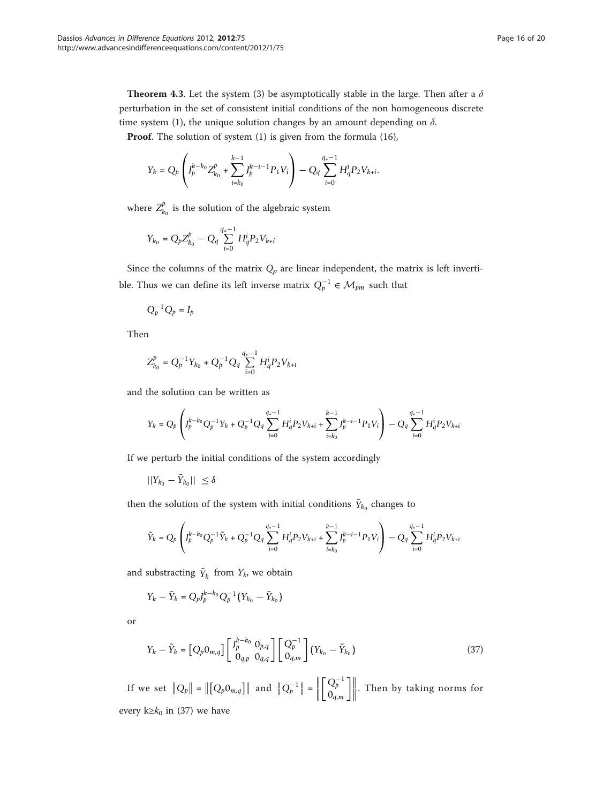**Theorem 4.3.** Let the system (3) be asymptotically stable in the large. Then after a  $\delta$ perturbation in the set of consistent initial conditions of the non homogeneous discrete time system (1), the unique solution changes by an amount depending on  $\delta$ .

Proof. The solution of system (1) is given from the formula (16),

$$
Y_k = Q_p \left( J_p^{k-k_0} Z_{k_0}^p + \sum_{i=k_0}^{k-1} J_p^{k-i-1} P_1 V_i \right) - Q_q \sum_{i=0}^{q_*-1} H_q^i P_2 V_{k+i}.
$$

where  $Z_{k_0}^p$  is the solution of the algebraic system

$$
Y_{k_0} = Q_p Z_{k_0}^p - Q_q \sum_{i=0}^{q_*-1} H_q^i P_2 V_{k+i}
$$

Since the columns of the matrix  $Q_p$  are linear independent, the matrix is left invertible. Thus we can define its left inverse matrix  $Q_p^{-1} \in \mathcal{M}_{pm}$  such that

$$
Q_p^{-1}Q_p=I_p
$$

Then

$$
Z_{k_0}^p = Q_p^{-1} Y_{k_0} + Q_p^{-1} Q_q \sum_{i=0}^{q_*-1} H_q^i P_2 V_{k+i}
$$

and the solution can be written as

$$
Y_k = Q_p \left( J_p^{k-k_0} Q_p^{-1} Y_k + Q_p^{-1} Q_q \sum_{i=0}^{q_*-1} H_q^i P_2 V_{k+i} + \sum_{i=k_0}^{k-1} J_p^{k-i-1} P_1 V_i \right) - Q_q \sum_{i=0}^{q_*-1} H_q^i P_2 V_{k+i}
$$

If we perturb the initial conditions of the system accordingly

$$
||Y_{k_0}-\tilde{Y}_{k_0}|| \leq \delta
$$

then the solution of the system with initial conditions  $\tilde{Y}_{k_0}$  changes to

$$
\tilde{Y}_k = Q_p \left( J_p^{k-k_0} Q_p^{-1} \tilde{Y}_k + Q_p^{-1} Q_q \sum_{i=0}^{q_*-1} H_q^i P_2 V_{k+i} + \sum_{i=k_0}^{k-1} J_p^{k-i-1} P_1 V_i \right) - Q_q \sum_{i=0}^{q_*-1} H_q^i P_2 V_{k+i}
$$

and substracting  $\tilde{Y}_k$  from  $Y_k$ , we obtain

$$
Y_k - \tilde{Y}_k = Q_p J_p^{k-k_0} Q_p^{-1} (Y_{k_0} - \tilde{Y}_{k_0})
$$

or

$$
Y_k - \tilde{Y}_k = [Q_p 0_{m,q}] \begin{bmatrix} J_p^{k-k_0} & 0_{p,q} \\ 0_{q,p} & 0_{q,q} \end{bmatrix} \begin{bmatrix} Q_p^{-1} \\ 0_{q,m} \end{bmatrix} (Y_{k_0} - \tilde{Y}_{k_0})
$$
(37)

If we set  $||Q_p|| = ||[Q_p 0_{m,q}]]||$  and  $||Q_p^{-1}|| = ||$  $\begin{bmatrix} Q_p^{-1} \\ 0_{q,m} \end{bmatrix}$  $\rfloor\rfloor$ . Then by taking norms for every k≥ $k_0$  in (37) we have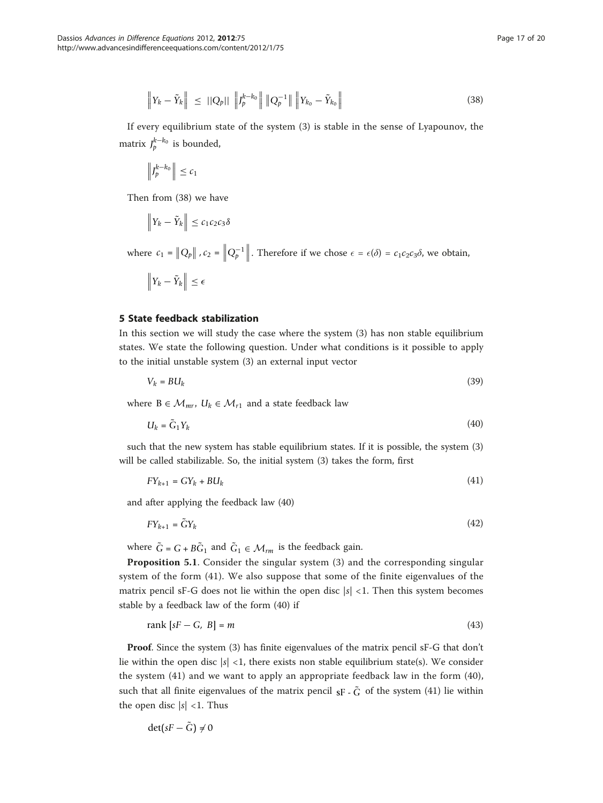$$
\left\| Y_k - \tilde{Y}_k \right\| \leq ||Q_p|| \left\| J_p^{k-k_0} \right\| \left\| Q_p^{-1} \right\| \left\| Y_{k_0} - \tilde{Y}_{k_0} \right\| \tag{38}
$$

If every equilibrium state of the system (3) is stable in the sense of Lyapounov, the matrix  $J_p^{k-k_0}$  is bounded,

$$
\left\|J_p^{k-k_0}\right\| \leq c_1
$$

Then from (38) we have

$$
\left\|Y_k - \tilde{Y}_k\right\| \leq c_1 c_2 c_3 \delta
$$

where  $c_1 = ||Q_p||$ ,  $c_2 = ||Q_p^{-1}||$ . Therefore if we chose  $\epsilon = \epsilon(\delta) = c_1c_2c_3\delta$ , we obtain,

$$
\left\|Y_k-\tilde{Y}_k\right\|\leq \epsilon
$$

## 5 State feedback stabilization

In this section we will study the case where the system (3) has non stable equilibrium states. We state the following question. Under what conditions is it possible to apply to the initial unstable system (3) an external input vector

$$
V_k = B U_k \tag{39}
$$

where  $B \in \mathcal{M}_{mr}$ ,  $U_k \in \mathcal{M}_{r1}$  and a state feedback law

$$
U_k = \tilde{G}_1 Y_k \tag{40}
$$

such that the new system has stable equilibrium states. If it is possible, the system (3) will be called stabilizable. So, the initial system (3) takes the form, first

$$
FY_{k+1} = GY_k + BU_k \tag{41}
$$

and after applying the feedback law (40)

$$
FY_{k+1} = \tilde{G}Y_k \tag{42}
$$

where  $\tilde{G} = G + B\tilde{G}_1$  and  $\tilde{G}_1 \in \mathcal{M}_{rm}$  is the feedback gain.

Proposition 5.1. Consider the singular system (3) and the corresponding singular system of the form (41). We also suppose that some of the finite eigenvalues of the matrix pencil sF-G does not lie within the open disc  $|s|$  < 1. Then this system becomes stable by a feedback law of the form (40) if

$$
rank[sF - G, B] = m \tag{43}
$$

Proof. Since the system (3) has finite eigenvalues of the matrix pencil sF-G that don't lie within the open disc  $|s|$  <1, there exists non stable equilibrium state(s). We consider the system (41) and we want to apply an appropriate feedback law in the form (40), such that all finite eigenvalues of the matrix pencil  $s_F$ .  $\tilde{G}$  of the system (41) lie within the open disc  $|s|$  <1. Thus

$$
\det(sF - \tilde{G}) \neq 0
$$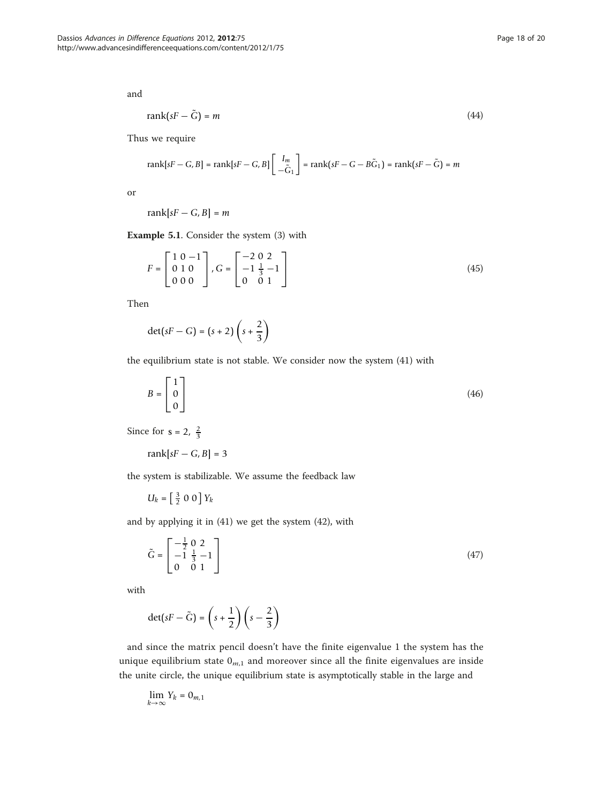and

$$
rank(sF - \tilde{G}) = m \tag{44}
$$

Thus we require

$$
\text{rank}[sF - G, B] = \text{rank}[sF - G, B] \begin{bmatrix} I_m \\ -\tilde{G}_1 \end{bmatrix} = \text{rank}(sF - G - B\tilde{G}_1) = \text{rank}(sF - \tilde{G}) = m
$$

or

rank $[sF - G, B] = m$ 

Example 5.1. Consider the system (3) with

$$
F = \begin{bmatrix} 1 & 0 & -1 \\ 0 & 1 & 0 \\ 0 & 0 & 0 \end{bmatrix}, G = \begin{bmatrix} -2 & 0 & 2 \\ -1 & \frac{1}{3} & -1 \\ 0 & 0 & 1 \end{bmatrix}
$$
(45)

Then

$$
\det(sF - G) = (s + 2)\left(s + \frac{2}{3}\right)
$$

the equilibrium state is not stable. We consider now the system (41) with

$$
B = \begin{bmatrix} 1 \\ 0 \\ 0 \end{bmatrix} \tag{46}
$$

Since for  $s = 2, \frac{2}{3}$ 

$$
\operatorname{rank}[sF - G, B] = 3
$$

the system is stabilizable. We assume the feedback law

 $U_k = \left[\frac{3}{2} \ 0 \ 0\right] Y_k$ 

and by applying it in (41) we get the system (42), with

$$
\tilde{G} = \begin{bmatrix} -\frac{1}{2} & 0 & 2 \\ -1 & \frac{1}{3} & -1 \\ 0 & 0 & 1 \end{bmatrix} \tag{47}
$$

with

$$
\det(sF - \tilde{G}) = \left(s + \frac{1}{2}\right)\left(s - \frac{2}{3}\right)
$$

and since the matrix pencil doesn't have the finite eigenvalue 1 the system has the unique equilibrium state  $0_{m,1}$  and moreover since all the finite eigenvalues are inside the unite circle, the unique equilibrium state is asymptotically stable in the large and

$$
\lim_{k\to\infty}Y_k=0_{m,1}
$$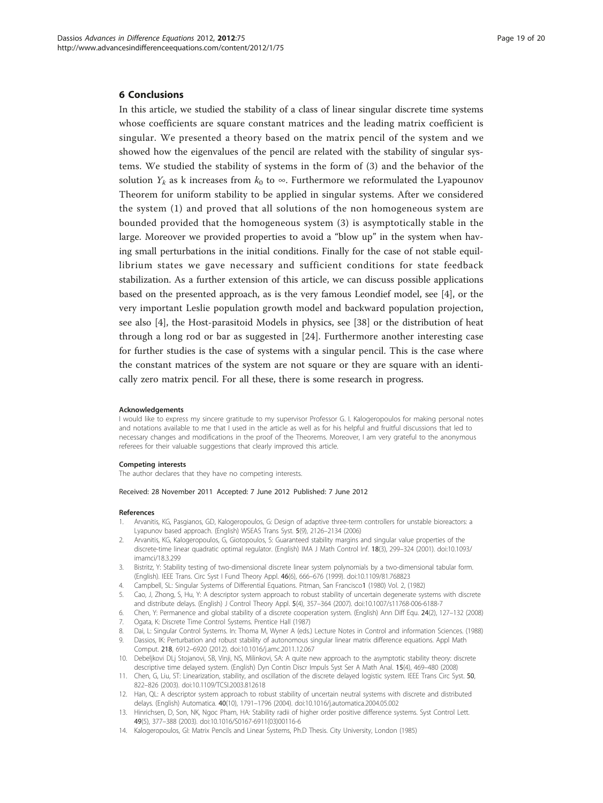#### <span id="page-18-0"></span>6 Conclusions

In this article, we studied the stability of a class of linear singular discrete time systems whose coefficients are square constant matrices and the leading matrix coefficient is singular. We presented a theory based on the matrix pencil of the system and we showed how the eigenvalues of the pencil are related with the stability of singular systems. We studied the stability of systems in the form of (3) and the behavior of the solution  $Y_k$  as k increases from  $k_0$  to  $\infty$ . Furthermore we reformulated the Lyapounov Theorem for uniform stability to be applied in singular systems. After we considered the system (1) and proved that all solutions of the non homogeneous system are bounded provided that the homogeneous system (3) is asymptotically stable in the large. Moreover we provided properties to avoid a "blow up" in the system when having small perturbations in the initial conditions. Finally for the case of not stable equillibrium states we gave necessary and sufficient conditions for state feedback stabilization. As a further extension of this article, we can discuss possible applications based on the presented approach, as is the very famous Leondief model, see [4], or the very important Leslie population growth model and backward population projection, see also [4], the Host-parasitoid Models in physics, see [[38](#page-19-0)] or the distribution of heat through a long rod or bar as suggested in [\[24](#page-19-0)]. Furthermore another interesting case for further studies is the case of systems with a singular pencil. This is the case where the constant matrices of the system are not square or they are square with an identically zero matrix pencil. For all these, there is some research in progress.

#### Acknowledgements

I would like to express my sincere gratitude to my supervisor Professor G. I. Kalogeropoulos for making personal notes and notations available to me that I used in the article as well as for his helpful and fruitful discussions that led to necessary changes and modifications in the proof of the Theorems. Moreover, I am very grateful to the anonymous referees for their valuable suggestions that clearly improved this article.

#### Competing interests

The author declares that they have no competing interests.

#### Received: 28 November 2011 Accepted: 7 June 2012 Published: 7 June 2012

#### References

- 1. Arvanitis, KG, Pasgianos, GD, Kalogeropoulos, G: Design of adaptive three-term controllers for unstable bioreactors: a Lyapunov based approach. (English) WSEAS Trans Syst. 5(9), 2126–2134 (2006)
- Arvanitis, KG, Kalogeropoulos, G, Giotopoulos, S: Guaranteed stability margins and singular value properties of the discrete-time linear quadratic optimal regulator. (English) IMA J Math Control Inf. 18(3), 299–324 (2001). doi:10.1093/ imamci/18.3.299
- 3. Bistritz, Y: Stability testing of two-dimensional discrete linear system polynomials by a two-dimensional tabular form. (English). IEEE Trans. Circ Syst I Fund Theory Appl. 46(6), 666–676 (1999). doi:10.1109/81.768823
- 4. Campbell, SL: Singular Systems of Differential Equations. Pitman, San Francisco1 (1980) Vol. 2, (1982)
- 5. Cao, J, Zhong, S, Hu, Y: A descriptor system approach to robust stability of uncertain degenerate systems with discrete and distribute delays. (English) J Control Theory Appl. 5(4), 357–364 (2007). doi:10.1007/s11768-006-6188-7
- 6. Chen, Y: Permanence and global stability of a discrete cooperation system. (English) Ann Diff Equ. 24(2), 127–132 (2008)
- 7. Ogata, K: Discrete Time Control Systems. Prentice Hall (1987)
- 8. Dai, L: Singular Control Systems. In: Thoma M, Wyner A (eds.) Lecture Notes in Control and information Sciences. (1988)
- 9. Dassios, IK: Perturbation and robust stability of autonomous singular linear matrix difference equations. Appl Math Comput. 218, 6912–6920 (2012). doi:10.1016/j.amc.2011.12.067
- 10. Debeljkovi DLj Stojanovi, SB, Vinji, NS, Milinkovi, SA: A quite new approach to the asymptotic stability theory: discrete descriptive time delayed system. (English) Dyn Contin Discr Impuls Syst Ser A Math Anal. 15(4), 469–480 (2008)
- 11. Chen, G, Liu, ST: Linearization, stability, and oscillation of the discrete delayed logistic system. IEEE Trans Circ Syst. 50, 822–826 (2003). doi:10.1109/TCSI.2003.812618
- 12. Han, QL: A descriptor system approach to robust stability of uncertain neutral systems with discrete and distributed delays. (English) Automatica. 40(10), 1791–1796 (2004). doi:10.1016/j.automatica.2004.05.002
- 13. Hinrichsen, D, Son, NK, Ngoc Pham, HA: Stability radii of higher order positive difference systems. Syst Control Lett. 49(5), 377–388 (2003). doi:10.1016/S0167-6911(03)00116-6
- 14. Kalogeropoulos, GI: Matrix Pencils and Linear Systems, Ph.D Thesis. City University, London (1985)